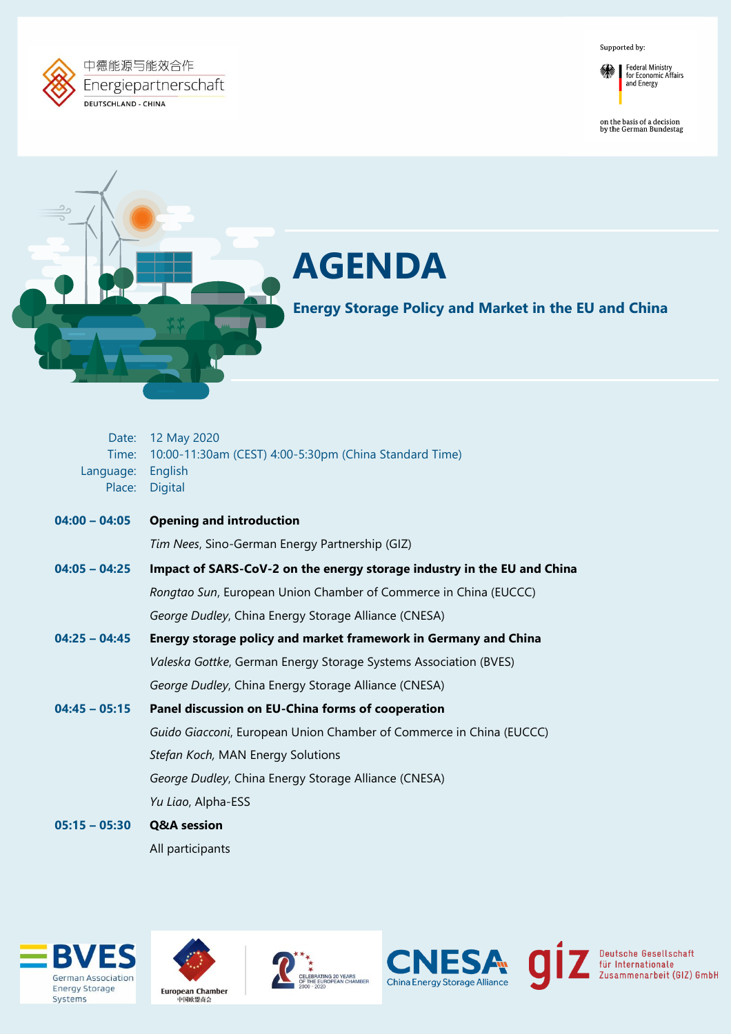Supported by:





on the basis of a decision<br>by the German Bundestag

Deutsche Gesellschaft<br>für Internationale<br>Zusammenarbeit (GIZ) GmbH



# **AGENDA**

**Energy Storage Policy and Market in the EU and China** 

| Time:<br>Language:<br>Place: | Date: 12 May 2020<br>10:00-11:30am (CEST) 4:00-5:30pm (China Standard Time)<br>English<br><b>Digital</b> |
|------------------------------|----------------------------------------------------------------------------------------------------------|
| $04:00 - 04:05$              | <b>Opening and introduction</b>                                                                          |
|                              | Tim Nees, Sino-German Energy Partnership (GIZ)                                                           |
| $04:05 - 04:25$              | Impact of SARS-CoV-2 on the energy storage industry in the EU and China                                  |
|                              | Rongtao Sun, European Union Chamber of Commerce in China (EUCCC)                                         |
|                              | George Dudley, China Energy Storage Alliance (CNESA)                                                     |
| $04:25 - 04:45$              | Energy storage policy and market framework in Germany and China                                          |
|                              | Valeska Gottke, German Energy Storage Systems Association (BVES)                                         |
|                              | George Dudley, China Energy Storage Alliance (CNESA)                                                     |
| $04:45 - 05:15$              | Panel discussion on EU-China forms of cooperation                                                        |
|                              | Guido Giacconi, European Union Chamber of Commerce in China (EUCCC)                                      |
|                              | Stefan Koch, MAN Energy Solutions                                                                        |
|                              | George Dudley, China Energy Storage Alliance (CNESA)                                                     |
|                              | Yu Liao, Alpha-ESS                                                                                       |
| $05:15 - 05:30$              | <b>Q&amp;A</b> session                                                                                   |
|                              | All participants                                                                                         |